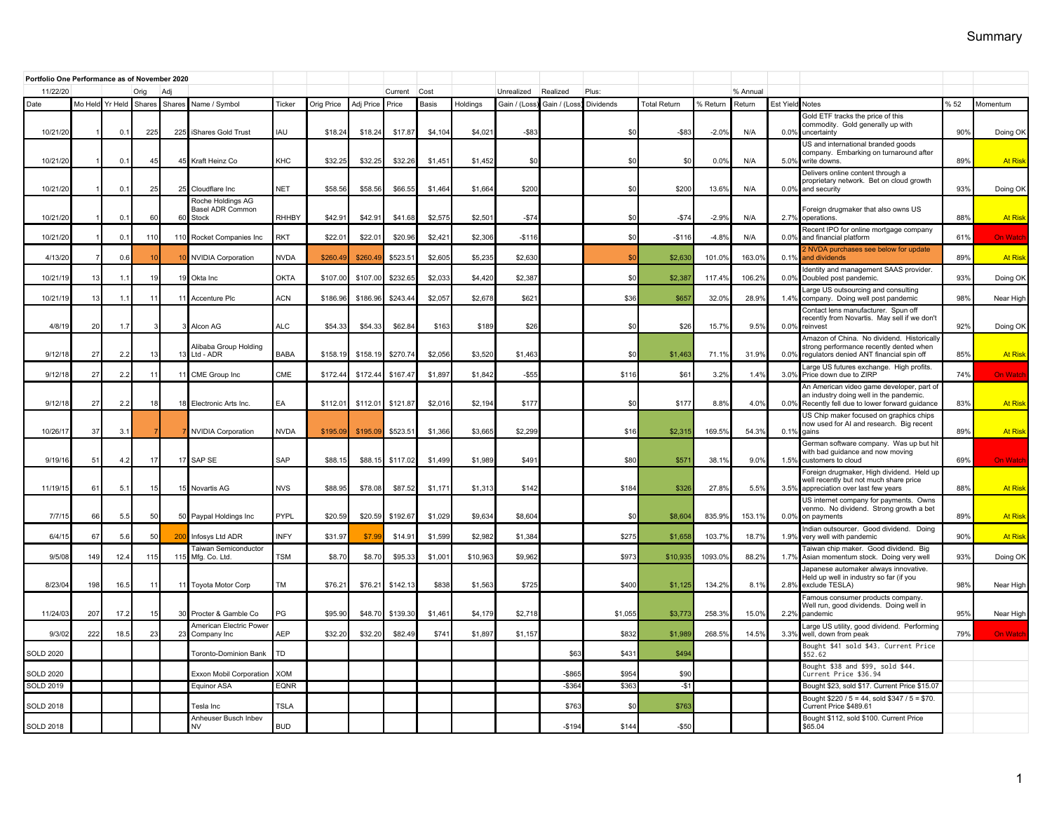| Portfolio One Performance as of November 2020 |                 |      |        |                 |                                           |             |            |           |          |         |            |              |              |            |                     |          |        |                  |                                                                                                                                     |     |                 |
|-----------------------------------------------|-----------------|------|--------|-----------------|-------------------------------------------|-------------|------------|-----------|----------|---------|------------|--------------|--------------|------------|---------------------|----------|--------|------------------|-------------------------------------------------------------------------------------------------------------------------------------|-----|-----------------|
| 11/22/20                                      | Orig<br>Adi     |      |        |                 |                                           |             |            | Current   | Cost     |         | Unrealized | Realized     | Plus:        |            |                     | % Annual |        |                  |                                                                                                                                     |     |                 |
| Date                                          | Mo Held Yr Held |      | Shares | Shares          | Name / Symbol                             | Ticker      | Orig Price | Adj Price | Price    | Basis   | Holdinas   | Gain / (Loss | Gain / (Loss | Dividends  | <b>Total Return</b> | % Return | Return | <b>Est Yield</b> | <b>Notes</b>                                                                                                                        | %52 | Momentum        |
| 10/21/20                                      |                 | 0.1  | 225    |                 | 225 iShares Gold Trust                    | <b>IJAI</b> | \$18.24    | \$18.24   | \$17.87  | \$4,104 | \$4,021    | $-$ \$83     |              | \$0        | $- $83$             | $-2.0%$  | N/A    | 0.0%             | Gold ETF tracks the price of this<br>commodity. Gold generally up with<br>uncertainty                                               | 90% | Doing OK        |
| 10/21/20                                      |                 | 0.1  | 45     |                 | 45 Kraft Heinz Co                         | KHC         | \$32.25    | \$32.2!   | \$32.26  | \$1,451 | \$1,452    | \$0          |              | \$0        | \$0                 | 0.0%     | N/A    | 5.0%             | US and international branded goods<br>company. Embarking on turnaround after<br>write downs.                                        | 89% | <b>At Risk</b>  |
|                                               |                 |      |        |                 |                                           |             |            |           |          |         |            |              |              |            |                     |          |        |                  | Delivers online content through a<br>proprietary network. Bet on cloud growth                                                       |     |                 |
| 10/21/20                                      |                 | 0.1  | 25     |                 | 25 Cloudflare Inc<br>Roche Holdings AG    | <b>NET</b>  | \$58.56    | \$58.56   | \$66.55  | \$1,464 | \$1,664    | \$200        |              | \$0        | \$200               | 13.6%    | N/A    | 0.0%             | and security                                                                                                                        | 93% | Doing OK        |
| 10/21/20                                      |                 | 0.2  | 60     |                 | <b>Basel ADR Common</b><br>60 Stock       | RHHBY       | \$42.9'    | \$42.9    | \$41.68  | \$2,575 | \$2,501    | $-$ \$74     |              | \$0        | $-$ \$74            | $-2.9%$  | N/A    | 2.7%             | Foreign drugmaker that also owns US<br>operations.                                                                                  | 88% | <b>At Risk</b>  |
| 10/21/20                                      |                 | 0.2  | 110    |                 | 110 Rocket Companies Inc                  | RKT         | \$22.01    | \$22.0    | \$20.96  | \$2,421 | \$2,306    | $-$116$      |              | \$0        | $-$116$             | $-4.8%$  | N/A    | 0.0%             | Recent IPO for online mortgage company<br>and financial platform                                                                    | 61% | <b>On Watch</b> |
| 4/13/20                                       |                 | 0.6  |        |                 | 10 NVIDIA Corporation                     | <b>NVDA</b> | \$260.49   | \$260.4   | \$523.5  | \$2,605 | \$5,235    | \$2,630      |              | \$0        | \$2,630             | 101.0%   | 163.0% | 0.1%             | 2 NVDA purchases see below for update<br>and dividends<br>Identity and management SAAS provider.                                    | 89% | <b>At Risk</b>  |
| 10/21/19                                      | 13              | 1.1  | 19     |                 | 19 Okta Inc                               | <b>OKTA</b> | \$107.00   | \$107.0   | \$232.6  | \$2,033 | \$4,420    | \$2,387      |              | \$0        | \$2,38              | 117.4%   | 106.2% | 0.0%             | Doubled post pandemic.<br>Large US outsourcing and consulting                                                                       | 93% | Doing Ok        |
| 10/21/19                                      | 13              | 1.1  |        |                 | 11 Accenture Plc                          | <b>ACN</b>  | \$186.96   | \$186.9   | \$243.4  | \$2,057 | \$2,678    | \$62         |              | \$36       | \$65                | 32.0%    | 28.9%  | 1.4%             | company. Doing well post pandemic<br>Contact lens manufacturer. Spun off                                                            | 98% | Near High       |
| 4/8/19                                        | 20              | 1.7  |        |                 | 3 Alcon AG                                | <b>ALC</b>  | \$54.33    | \$54.3    | \$62.84  | \$163   | \$189      | \$26         |              | \$0        | \$26                | 15.7%    | 9.5%   | 0.0%             | recently from Novartis. May sell if we don't<br>reinvest                                                                            | 92% | Doing OK        |
| 9/12/18                                       | 27              | 2.2  | 13     |                 | Alibaba Group Holding<br>13 Ltd - ADR     | <b>BABA</b> | \$158.19   | \$158.1   | \$270.74 | \$2,056 | \$3.520    | \$1,463      |              | \$0        | \$1,46              | 71.1%    | 31.9%  | 0.0%             | Amazon of China. No dividend. Historically<br>strong performance recently dented when<br>regulators denied ANT financial spin off   | 85% | <b>At Risk</b>  |
| 9/12/18                                       | 27              | 2.2  | $-1$   |                 | 11 CME Group Inc                          | CME         | \$172.44   | \$172.4   | \$167.4  | \$1,897 | \$1,842    | $-$55$       |              | \$116      | \$61                | 3.2%     | 1.4%   | 3.0%             | Large US futures exchange. High profits.<br>Price down due to ZIRP                                                                  | 74% | <b>On Watch</b> |
| 9/12/18                                       | 27              | 2.2  | 18     |                 | 18 Electronic Arts Inc.                   | EA          | \$112.01   | \$112.0   | \$121.87 | \$2,016 | \$2,194    | \$177        |              | \$0        | \$177               | 8.8%     | 4.0%   | 0.0%             | An American video game developer, part of<br>an industry doing well in the pandemic.<br>Recently fell due to lower forward quidance | 83% | <b>At Risk</b>  |
| 10/26/17                                      | 37              | 3.1  |        |                 | NVIDIA Corporation                        | <b>NVDA</b> | \$195.09   | \$195.0   | \$523.51 | \$1,366 | \$3,665    | \$2,299      |              | \$16       | \$2,315             | 169.5%   | 54.3%  | 0.1%             | US Chip maker focused on graphics chips<br>now used for AI and research. Big recent<br>gains                                        | 89% | <b>At Risk</b>  |
| 9/19/16                                       | 51              | 4.2  | 17     |                 | 17 SAP SE                                 | SAP         | \$88.15    | \$88.     | \$117.02 | \$1,499 | \$1,989    | \$491        |              | \$80       | \$57                | 38.1%    | 9.0%   | 1.5%             | German software company. Was up but hit<br>with bad guidance and now moving<br>customers to cloud                                   | 69% | <b>On Watch</b> |
| 11/19/15                                      | 61              | 5.1  | 15     |                 | 15 Novartis AG                            | <b>NVS</b>  | \$88.95    | \$78.08   | \$87.52  | \$1,171 | \$1,313    | \$142        |              | \$184      | \$326               | 27.8%    | 5.5%   | 3.5%             | Foreign drugmaker, High dividend. Held up<br>well recently but not much share price<br>appreciation over last few years             | 88% | <b>At Risk</b>  |
| 7/7/15                                        | 66              | 5.5  | 50     |                 | 50 Paypal Holdings Inc                    | PYPL        | \$20.59    | \$20.59   | \$192.67 | \$1,029 | \$9,634    | \$8,60       |              | \$0        | \$8,604             | 835.9%   | 153.19 | 0.0%             | US internet company for payments. Owns<br>venmo. No dividend. Strong growth a bet<br>on payments                                    | 89% | <b>At Risk</b>  |
| 6/4/1!                                        | 67              | 5.6  | 50     | 20 <sub>l</sub> | Infosys Ltd ADR                           | <b>INFY</b> | \$31.97    | \$7.      | \$14.9   | \$1,599 | \$2.982    | \$1,384      |              | \$275      | \$1,65              | 103.7%   | 18.7%  | 1.9%             | Indian outsourcer. Good dividend. Doing<br>very well with pandemic                                                                  | 90% | <b>At Risk</b>  |
| 9/5/08                                        | 149             | 12.4 | 115    |                 | Taiwan Semiconductor<br>115 Mfg. Co. Ltd. | TSM         | \$8.70     | \$8.70    | \$95.3   | \$1,001 | \$10,963   | \$9,962      |              | \$973      | \$10,93             | 1093.0%  | 88.2%  | 1.7%             | Taiwan chip maker. Good dividend. Big<br>Asian momentum stock. Doing very well                                                      | 93% | Doing OK        |
| 8/23/04                                       | 198             | 16.5 | 11     |                 | 11 Toyota Motor Corp                      | TM          | \$76.21    | \$76.2    | \$142.1  | \$838   | \$1,563    | \$725        |              | \$400      | \$1,125             | 134.2%   | 8.1%   | 2.8%             | Japanese automaker always innovative.<br>Held up well in industry so far (if you<br>exclude TESLA)                                  | 98% | Near High       |
| 11/24/03                                      | 207             | 17.2 | 15     |                 | 30 Procter & Gamble Co                    | PG          | \$95.90    | \$48.7    | \$139.30 | \$1,461 | \$4,179    | \$2,718      |              | \$1,055    | \$3,77              | 258.3%   | 15.0%  | 2.2%             | Famous consumer products company.<br>Well run, good dividends. Doing well in<br>pandemic                                            | 95% | Near High       |
| 9/3/02                                        | 222             | 18.5 | 23     | 23              | American Electric Power<br>Company Inc.   | <b>AEP</b>  | \$32.20    | \$32.20   | \$82.49  | \$741   | \$1,897    | \$1,157      |              | \$832      | \$1,98              | 268.5%   | 14.5%  | 3.3%             | Large US utility, good dividend. Performing<br>well, down from peak                                                                 | 79% | On Watch        |
| <b>SOLD 2020</b>                              |                 |      |        |                 | Toronto-Dominion Bank                     | TD          |            |           |          |         |            |              | \$63         | \$43       | \$49                |          |        |                  | Bought \$41 sold \$43. Current Price<br>\$52.62                                                                                     |     |                 |
| <b>SOLD 2020</b>                              |                 |      |        |                 | Exxon Mobil Corporation                   | <b>XOM</b>  |            |           |          |         |            |              | $-$865$      | \$954      | \$90                |          |        |                  | Bought \$38 and \$99, sold \$44.<br>Current Price \$36.94                                                                           |     |                 |
| <b>SOLD 2019</b>                              |                 |      |        |                 | Equinor ASA                               | <b>EQNR</b> |            |           |          |         |            |              | $-$364$      | \$363      | $-$1$               |          |        |                  | Bought \$23, sold \$17. Current Price \$15.07<br>Bought \$220 / 5 = 44, sold \$347 / 5 = \$70.                                      |     |                 |
| <b>SOLD 2018</b>                              |                 |      |        |                 | Tesla Inc<br>Anheuser Busch Inbev         | TSLA        |            |           |          |         |            |              | \$763        | $$^{(1)}$$ | \$763               |          |        |                  | Current Price \$489.61<br>Bought \$112, sold \$100. Current Price                                                                   |     |                 |
| <b>SOLD 2018</b>                              |                 |      |        |                 | <b>NV</b>                                 | <b>BUD</b>  |            |           |          |         |            |              | $-$194$      | \$144      | $-$50$              |          |        |                  | \$65.04                                                                                                                             |     |                 |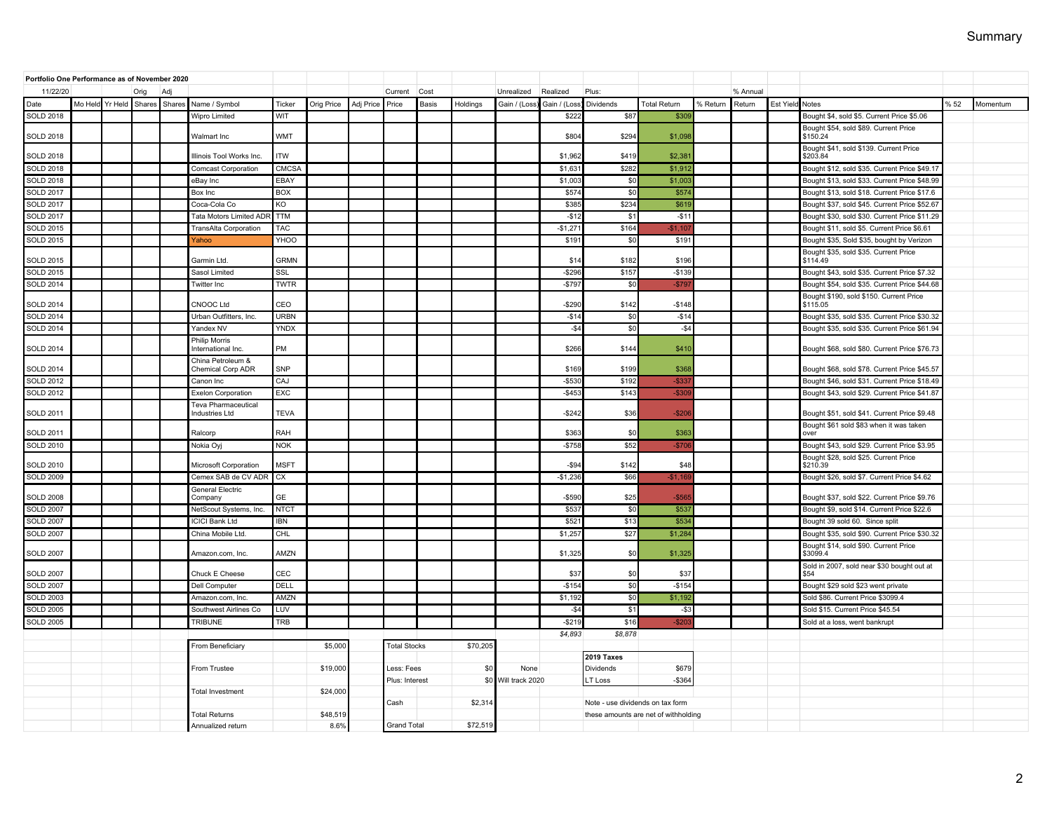| Portfolio One Performance as of November 2020 |                 |        |        |                                                     |             |            |           |                     |       |          |                     |              |                                  |                                      |          |          |                 |                                                     |     |          |
|-----------------------------------------------|-----------------|--------|--------|-----------------------------------------------------|-------------|------------|-----------|---------------------|-------|----------|---------------------|--------------|----------------------------------|--------------------------------------|----------|----------|-----------------|-----------------------------------------------------|-----|----------|
| 11/22/20                                      |                 | Orig   | Ad     |                                                     |             |            |           | Current             | Cost  |          | Unrealized          | Realized     | Plus:                            |                                      |          | % Annual |                 |                                                     |     |          |
| Date                                          | Mo Held Yr Held | Shares | Shares | Name / Symbol                                       | Ticker      | Orig Price | Adj Price | Price               | Basis | Holdings | Gain / (Loss        | Gain / (Loss | Dividends                        | Total Return                         | % Return | Return   | Est Yield Notes |                                                     | %52 | Momentum |
| <b>SOLD 2018</b>                              |                 |        |        | Wipro Limited                                       | WIT         |            |           |                     |       |          |                     | \$222        | \$87                             | \$30                                 |          |          |                 | Bought \$4, sold \$5. Current Price \$5.06          |     |          |
| <b>SOLD 2018</b>                              |                 |        |        | Walmart Inc.                                        | <b>WMT</b>  |            |           |                     |       |          |                     | \$804        | \$294                            | \$1,098                              |          |          |                 | Bought \$54, sold \$89. Current Price<br>\$150.24   |     |          |
| <b>SOLD 2018</b>                              |                 |        |        | Illinois Tool Works Inc.                            | <b>ITW</b>  |            |           |                     |       |          |                     | \$1,962      | \$419                            | \$2.38                               |          |          |                 | Bought \$41, sold \$139. Current Price<br>\$203.84  |     |          |
| <b>SOLD 2018</b>                              |                 |        |        | <b>Comcast Corporation</b>                          | CMCSA       |            |           |                     |       |          |                     | \$1,63       | \$282                            | \$1,91                               |          |          |                 | Bought \$12, sold \$35. Current Price \$49.17       |     |          |
| <b>SOLD 2018</b>                              |                 |        |        | eBay Inc                                            | EBAY        |            |           |                     |       |          |                     | \$1,003      | \$0                              | \$1,00                               |          |          |                 | Bought \$13, sold \$33. Current Price \$48.99       |     |          |
| <b>SOLD 2017</b>                              |                 |        |        | Box Inc                                             | <b>BOX</b>  |            |           |                     |       |          |                     | \$574        | \$0                              | \$574                                |          |          |                 | Bought \$13, sold \$18. Current Price \$17.6        |     |          |
| <b>SOLD 2017</b>                              |                 |        |        | Coca-Cola Co                                        | KO          |            |           |                     |       |          |                     | \$385        | \$234                            | \$61                                 |          |          |                 | Bought \$37, sold \$45. Current Price \$52.67       |     |          |
| <b>SOLD 2017</b>                              |                 |        |        | <b>Tata Motors Limited ADF</b>                      | <b>TTM</b>  |            |           |                     |       |          |                     | $-$12$       | \$1                              | $-$1'$                               |          |          |                 | Bought \$30, sold \$30. Current Price \$11.29       |     |          |
| <b>SOLD 2015</b>                              |                 |        |        | TransAlta Corporation                               | TAC         |            |           |                     |       |          |                     | $-$1,27$     | \$164                            | $-$1,10$                             |          |          |                 | Bought \$11, sold \$5. Current Price \$6.61         |     |          |
| SOLD 2015                                     |                 |        |        | Yahoo                                               | YHOO        |            |           |                     |       |          |                     | \$191        | \$0                              | \$19                                 |          |          |                 | Bought \$35, Sold \$35, bought by Verizon           |     |          |
| <b>SOLD 2015</b>                              |                 |        |        | Garmin Ltd.                                         | <b>GRMN</b> |            |           |                     |       |          |                     | \$14         | \$182                            | \$196                                |          |          |                 | Bought \$35, sold \$35. Current Price<br>\$114.49   |     |          |
| <b>SOLD 2015</b>                              |                 |        |        | Sasol Limited                                       | SSL         |            |           |                     |       |          |                     | $-$296$      | \$157                            | $-$139$                              |          |          |                 | Bought \$43, sold \$35. Current Price \$7.32        |     |          |
| SOLD 2014                                     |                 |        |        | Twitter Inc                                         | <b>TWTR</b> |            |           |                     |       |          |                     | $-$797$      | \$0                              | $-$ \$79                             |          |          |                 | Bought \$54, sold \$35. Current Price \$44.68       |     |          |
| <b>SOLD 2014</b>                              |                 |        |        | CNOOC Ltd                                           | CEO         |            |           |                     |       |          |                     | $-$290$      | \$142                            | $-$148$                              |          |          |                 | Bought \$190, sold \$150. Current Price<br>\$115.05 |     |          |
| <b>SOLD 2014</b>                              |                 |        |        | Urban Outfitters, Inc.                              | <b>URBN</b> |            |           |                     |       |          |                     | $-$14$       | \$0                              | $-$14$                               |          |          |                 | Bought \$35, sold \$35. Current Price \$30.32       |     |          |
| <b>SOLD 2014</b>                              |                 |        |        | Yandex NV                                           | YNDX        |            |           |                     |       |          |                     | $-$4$        | \$0                              | $-$4$                                |          |          |                 | Bought \$35, sold \$35. Current Price \$61.94       |     |          |
| <b>SOLD 2014</b>                              |                 |        |        | Philip Morris<br>International Inc                  | PM          |            |           |                     |       |          |                     | \$266        | \$144                            | \$410                                |          |          |                 | Bought \$68, sold \$80. Current Price \$76.73       |     |          |
| <b>SOLD 2014</b>                              |                 |        |        | China Petroleum &<br>Chemical Corp ADR              | SNP         |            |           |                     |       |          |                     | \$169        | \$199                            | \$368                                |          |          |                 | Bought \$68, sold \$78. Current Price \$45.57       |     |          |
| <b>SOLD 2012</b>                              |                 |        |        | Canon Inc                                           | CAJ         |            |           |                     |       |          |                     | $-$530$      | \$192                            | -\$3.                                |          |          |                 | Bought \$46, sold \$31. Current Price \$18.49       |     |          |
| <b>SOLD 2012</b>                              |                 |        |        | <b>Exelon Corporation</b>                           | EXC         |            |           |                     |       |          |                     | $-$453$      | \$143                            | $-$30$                               |          |          |                 | Bought \$43, sold \$29. Current Price \$41.87       |     |          |
| SOLD 2011                                     |                 |        |        | <b>Teva Pharmaceutical</b><br><b>Industries Ltd</b> | TEVA        |            |           |                     |       |          |                     | $-$242$      | \$36                             | $-$20$                               |          |          |                 | Bought \$51, sold \$41. Current Price \$9.48        |     |          |
| <b>SOLD 2011</b>                              |                 |        |        | Ralcorp                                             | RAH         |            |           |                     |       |          |                     | \$363        | \$0                              | \$363                                |          |          |                 | Bought \$61 sold \$83 when it was taken<br>over     |     |          |
| <b>SOLD 2010</b>                              |                 |        |        | Nokia Oyj                                           | <b>NOK</b>  |            |           |                     |       |          |                     | $-$758$      | \$52                             | $-$70$                               |          |          |                 | Bought \$43, sold \$29. Current Price \$3.95        |     |          |
| <b>SOLD 2010</b>                              |                 |        |        | Microsoft Corporation                               | <b>MSFT</b> |            |           |                     |       |          |                     | $-$ \$94     | \$142                            | \$48                                 |          |          |                 | Bought \$28, sold \$25. Current Price<br>\$210.39   |     |          |
| <b>SOLD 2009</b>                              |                 |        |        | Cemex SAB de CV ADR                                 | CX          |            |           |                     |       |          |                     | $-$1,23$     | \$66                             | $-$1,16$                             |          |          |                 | Bought \$26, sold \$7. Current Price \$4.62         |     |          |
| <b>SOLD 2008</b>                              |                 |        |        | <b>General Electric</b><br>Company                  | GE          |            |           |                     |       |          |                     | $-$59$       | \$25                             | $-$ \$56                             |          |          |                 | Bought \$37, sold \$22. Current Price \$9.76        |     |          |
| <b>SOLD 2007</b>                              |                 |        |        | NetScout Systems, Inc.                              | <b>NTCT</b> |            |           |                     |       |          |                     | \$537        | \$0                              | \$53                                 |          |          |                 | Bought \$9, sold \$14. Current Price \$22.6         |     |          |
| <b>SOLD 2007</b>                              |                 |        |        | <b>ICICI Bank Ltd</b>                               | <b>IBN</b>  |            |           |                     |       |          |                     | \$52         | \$13                             | \$534                                |          |          |                 | Bought 39 sold 60. Since split                      |     |          |
| <b>SOLD 2007</b>                              |                 |        |        | China Mobile Ltd.                                   | CHL         |            |           |                     |       |          |                     | \$1.25       | \$27                             | \$1.28                               |          |          |                 | Bought \$35, sold \$90. Current Price \$30.32       |     |          |
| <b>SOLD 2007</b>                              |                 |        |        | Amazon.com. Inc.                                    | AMZN        |            |           |                     |       |          |                     | \$1,325      | \$0                              | \$1,325                              |          |          |                 | Bought \$14, sold \$90. Current Price<br>\$3099.4   |     |          |
| <b>SOLD 2007</b>                              |                 |        |        | Chuck E Cheese                                      | <b>CEC</b>  |            |           |                     |       |          |                     | \$37         | \$0                              | \$37                                 |          |          |                 | Sold in 2007, sold near \$30 bought out at<br>\$54  |     |          |
| <b>SOLD 2007</b>                              |                 |        |        | Dell Computer                                       | DELL        |            |           |                     |       |          |                     | $-$154$      | \$0                              | $-$154$                              |          |          |                 | Bought \$29 sold \$23 went private                  |     |          |
| <b>SOLD 2003</b>                              |                 |        |        | Amazon.com. Inc.                                    | AMZN        |            |           |                     |       |          |                     | \$1,192      | \$0                              | \$1,192                              |          |          |                 | Sold \$86, Current Price \$3099.4                   |     |          |
| <b>SOLD 2005</b>                              |                 |        |        | Southwest Airlines Co                               | LUV         |            |           |                     |       |          |                     | $-$4$        | \$1                              | $-$ \$3                              |          |          |                 | Sold \$15. Current Price \$45.54                    |     |          |
| <b>SOLD 2005</b>                              |                 |        |        | <b>TRIBUNE</b>                                      | TRB         |            |           |                     |       |          |                     | $-$219$      | \$16                             | \$20                                 |          |          |                 | Sold at a loss, went bankrupt                       |     |          |
|                                               |                 |        |        |                                                     |             |            |           |                     |       |          |                     | \$4,893      | \$8,878                          |                                      |          |          |                 |                                                     |     |          |
|                                               |                 |        |        | From Beneficiary                                    |             | \$5,000    |           | <b>Total Stocks</b> |       | \$70,205 |                     |              |                                  |                                      |          |          |                 |                                                     |     |          |
|                                               |                 |        |        |                                                     |             |            |           | <b>2019 Taxes</b>   |       |          |                     |              |                                  |                                      |          |          |                 |                                                     |     |          |
|                                               |                 |        |        | From Trustee                                        |             | \$19,000   |           | Less: Fees          |       | \$0      | None                |              | Dividends                        | \$679                                |          |          |                 |                                                     |     |          |
|                                               |                 |        |        |                                                     |             |            |           | Plus: Interest      |       |          | \$0 Will track 2020 |              | LT Loss                          | $-$ \$364                            |          |          |                 |                                                     |     |          |
|                                               |                 |        |        | <b>Total Investment</b>                             |             | \$24,000   |           |                     |       |          |                     |              |                                  |                                      |          |          |                 |                                                     |     |          |
|                                               |                 |        |        |                                                     |             |            |           | Cash                |       | \$2,314  |                     |              | Note - use dividends on tax form |                                      |          |          |                 |                                                     |     |          |
|                                               |                 |        |        | <b>Total Returns</b>                                |             | \$48,519   |           |                     |       |          |                     |              |                                  | these amounts are net of withholding |          |          |                 |                                                     |     |          |
|                                               |                 |        |        | Annualized return                                   |             | 8.6%       |           | <b>Grand Total</b>  |       | \$72,519 |                     |              |                                  |                                      |          |          |                 |                                                     |     |          |